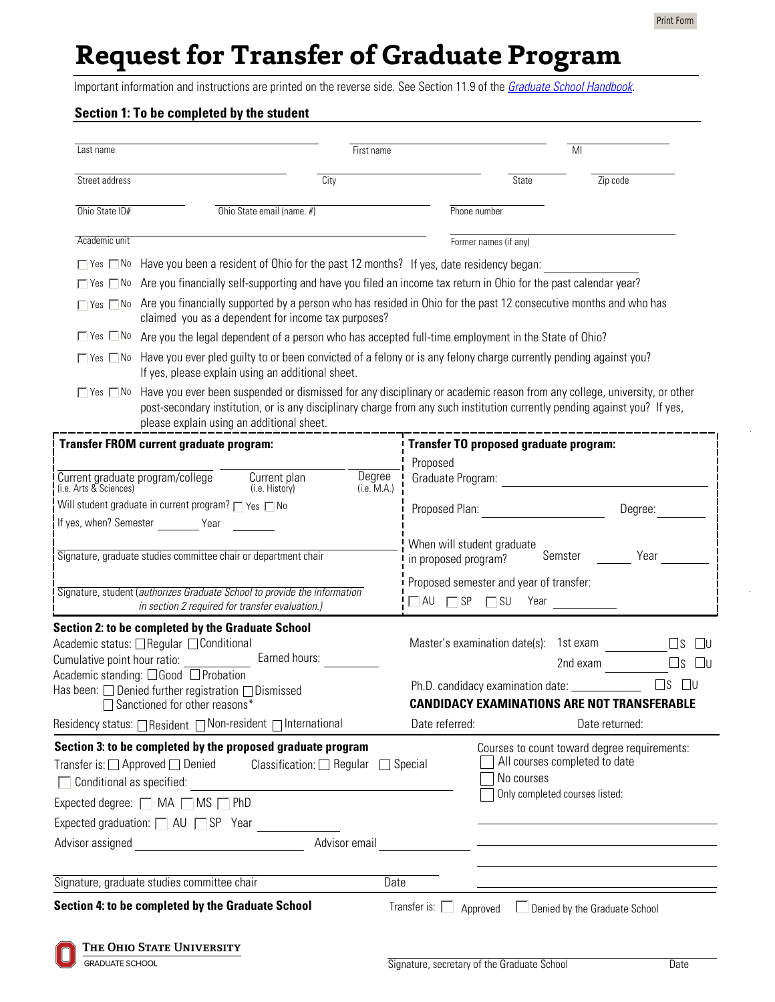# **Request for Transfer of Graduate Program**

Important information and instructions are printed on the reverse side. See Section 11.9 of the *[Graduate School Handbook](http://www.gradsch.ohio-state.edu/graduate-school-handbook1.html)*.

#### **Section 1: To be completed by the student**

| Last name                                                                                                                    |                                                                                                                                                                                                                                                                                                     | First name    |                                                                                                 |                       | MI                                                 |                           |
|------------------------------------------------------------------------------------------------------------------------------|-----------------------------------------------------------------------------------------------------------------------------------------------------------------------------------------------------------------------------------------------------------------------------------------------------|---------------|-------------------------------------------------------------------------------------------------|-----------------------|----------------------------------------------------|---------------------------|
| Street address<br>$\overline{City}$                                                                                          |                                                                                                                                                                                                                                                                                                     |               | State                                                                                           |                       | Zip code                                           |                           |
| Ohio State ID#                                                                                                               | Ohio State email (name. #)                                                                                                                                                                                                                                                                          |               |                                                                                                 | Phone number          |                                                    |                           |
| Academic unit                                                                                                                |                                                                                                                                                                                                                                                                                                     |               |                                                                                                 | Former names (if any) |                                                    |                           |
|                                                                                                                              | □ Yes □ No Have you been a resident of Ohio for the past 12 months? If yes, date residency began:                                                                                                                                                                                                   |               |                                                                                                 |                       |                                                    |                           |
|                                                                                                                              | $\Box$ Yes $\Box$ No Are you financially self-supporting and have you filed an income tax return in Ohio for the past calendar year?                                                                                                                                                                |               |                                                                                                 |                       |                                                    |                           |
|                                                                                                                              | $\Box$ Yes $\Box$ No Are you financially supported by a person who has resided in Ohio for the past 12 consecutive months and who has<br>claimed you as a dependent for income tax purposes?                                                                                                        |               |                                                                                                 |                       |                                                    |                           |
| $\Box$ Yes $\Box$ No                                                                                                         | Are you the legal dependent of a person who has accepted full-time employment in the State of Ohio?                                                                                                                                                                                                 |               |                                                                                                 |                       |                                                    |                           |
| $\Box$ Yes $\Box$ No                                                                                                         | Have you ever pled guilty to or been convicted of a felony or is any felony charge currently pending against you?<br>If yes, please explain using an additional sheet.                                                                                                                              |               |                                                                                                 |                       |                                                    |                           |
| $\Box$ Yes $\Box$ No                                                                                                         | Have you ever been suspended or dismissed for any disciplinary or academic reason from any college, university, or other<br>post-secondary institution, or is any disciplinary charge from any such institution currently pending against you? If yes,<br>please explain using an additional sheet. |               |                                                                                                 |                       |                                                    |                           |
| <b>Transfer FROM current graduate program:</b>                                                                               |                                                                                                                                                                                                                                                                                                     |               | Transfer TO proposed graduate program:                                                          |                       |                                                    |                           |
|                                                                                                                              | Current plan                                                                                                                                                                                                                                                                                        | Degree        | Proposed<br>Graduate Program:                                                                   |                       |                                                    |                           |
| Current graduate program/college<br>(i.e. Arts & Sciences)<br>(i.e. M.A.)<br>(i.e. History)                                  |                                                                                                                                                                                                                                                                                                     |               |                                                                                                 |                       |                                                    |                           |
| Will student graduate in current program? Tyes TNo                                                                           |                                                                                                                                                                                                                                                                                                     |               | Proposed Plan:<br>Degree:                                                                       |                       |                                                    |                           |
| If yes, when? Semester Year                                                                                                  |                                                                                                                                                                                                                                                                                                     |               |                                                                                                 |                       |                                                    |                           |
| Signature, graduate studies committee chair or department chair                                                              |                                                                                                                                                                                                                                                                                                     |               | When will student graduate<br>Semster<br>Year<br>in proposed program?                           |                       |                                                    |                           |
| Signature, student (authorizes Graduate School to provide the information<br>in section 2 required for transfer evaluation.) |                                                                                                                                                                                                                                                                                                     |               | Proposed semester and year of transfer:<br>$\Box$ AU $\Box$ SP $\Box$ SU<br>Year                |                       |                                                    |                           |
|                                                                                                                              | <b>Section 2: to be completed by the Graduate School</b>                                                                                                                                                                                                                                            |               |                                                                                                 |                       |                                                    |                           |
| Academic status: □ Regular □ Conditional                                                                                     |                                                                                                                                                                                                                                                                                                     |               | Master's examination date(s): 1st exam                                                          |                       | $\square$ s<br>$\Box$ U                            |                           |
| Earned hours:<br>Cumulative point hour ratio:<br>Academic standing: □Good □ Probation                                        |                                                                                                                                                                                                                                                                                                     |               |                                                                                                 |                       | 2nd exam                                           | $\square$ u<br>$\sqcup$ s |
| Has been: □ Denied further registration □ Dismissed                                                                          |                                                                                                                                                                                                                                                                                                     |               | $\square$ s $\square$ u<br>Ph.D. candidacy examination date: _____________                      |                       |                                                    |                           |
|                                                                                                                              | □ Sanctioned for other reasons*                                                                                                                                                                                                                                                                     |               |                                                                                                 |                       | <b>CANDIDACY EXAMINATIONS ARE NOT TRANSFERABLE</b> |                           |
|                                                                                                                              | Residency status: □ Resident □ Non-resident □ International                                                                                                                                                                                                                                         |               | Date referred:                                                                                  |                       | Date returned:                                     |                           |
|                                                                                                                              | Section 3: to be completed by the proposed graduate program                                                                                                                                                                                                                                         |               |                                                                                                 |                       | Courses to count toward degree requirements:       |                           |
| Transfer is: $\Box$ Approved $\Box$ Denied<br>Classification: $\Box$ Regular<br>$\Box$ Conditional as specified:             |                                                                                                                                                                                                                                                                                                     |               | All courses completed to date<br>$\Box$ Special<br>No courses<br>Only completed courses listed: |                       |                                                    |                           |
| Expected degree: $\Box$ MA $\Box$ MS $\Box$ PhD                                                                              |                                                                                                                                                                                                                                                                                                     |               |                                                                                                 |                       |                                                    |                           |
| Expected graduation: $\Box$ AU $\Box$ SP Year                                                                                |                                                                                                                                                                                                                                                                                                     |               |                                                                                                 |                       |                                                    |                           |
| Advisor assigned                                                                                                             | <u> 1980 - Jan Barat, prima a popular popular popular popular popular popular popular popular popular popular po</u>                                                                                                                                                                                | Advisor email |                                                                                                 |                       |                                                    |                           |
| Signature, graduate studies committee chair                                                                                  |                                                                                                                                                                                                                                                                                                     | Date          |                                                                                                 |                       |                                                    |                           |
|                                                                                                                              |                                                                                                                                                                                                                                                                                                     |               |                                                                                                 |                       |                                                    |                           |